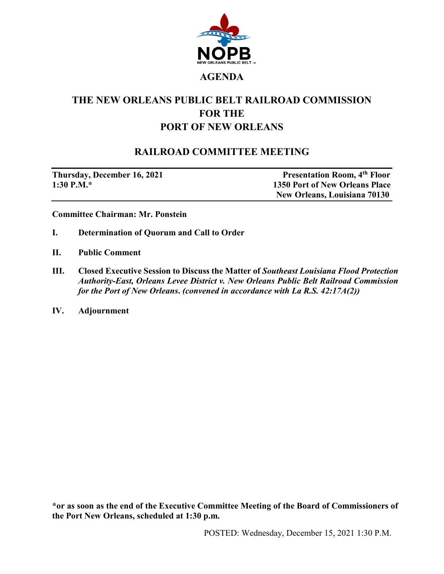

## **THE NEW ORLEANS PUBLIC BELT RAILROAD COMMISSION FOR THE PORT OF NEW ORLEANS**

## **RAILROAD COMMITTEE MEETING**

**Thursday, December 16, 2021** Presentation Room, 4<sup>th</sup> Floor **1:30 P.M.\* 1350 Port of New Orleans Place New Orleans, Louisiana 70130**

**Committee Chairman: Mr. Ponstein**

- **I. Determination of Quorum and Call to Order**
- **II. Public Comment**
- **III. Closed Executive Session to Discuss the Matter of** *Southeast Louisiana Flood Protection Authority-East, Orleans Levee District v. New Orleans Public Belt Railroad Commission for the Port of New Orleans***.** *(convened in accordance with La R.S. 42:17A(2))*
- **IV. Adjournment**

**\*or as soon as the end of the Executive Committee Meeting of the Board of Commissioners of the Port New Orleans, scheduled at 1:30 p.m.**

POSTED: Wednesday, December 15, 2021 1:30 P.M.